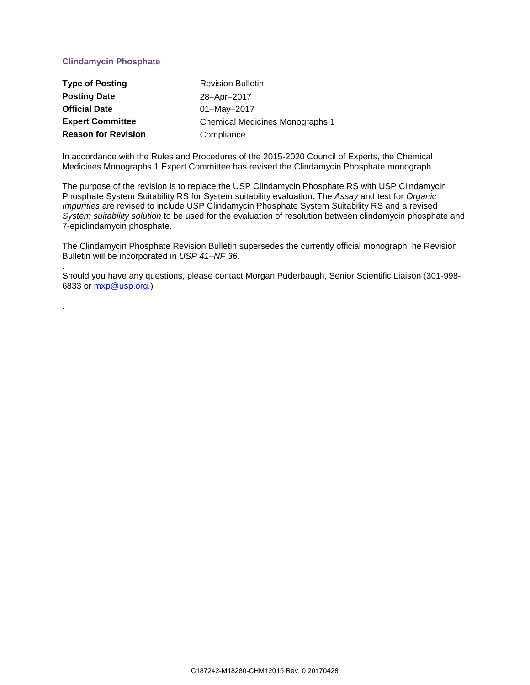## **Clindamycin Phosphate**

.

| <b>Type of Posting</b>     | <b>Revision Bulletin</b>               |
|----------------------------|----------------------------------------|
| <b>Posting Date</b>        | 28-Apr-2017                            |
| <b>Official Date</b>       | $01 - May - 2017$                      |
| <b>Expert Committee</b>    | <b>Chemical Medicines Monographs 1</b> |
| <b>Reason for Revision</b> | Compliance                             |

In accordance with the Rules and Procedures of the 2015-2020 Council of Experts, the Chemical Medicines Monographs 1 Expert Committee has revised the Clindamycin Phosphate monograph.

The purpose of the revision is to replace the USP Clindamycin Phosphate RS with USP Clindamycin Phosphate System Suitability RS for System suitability evaluation. The *Assay* and test for *Organic Impurities* are revised to include USP Clindamycin Phosphate System Suitability RS and a revised *System suitability solution* to be used for the evaluation of resolution between clindamycin phosphate and 7-epiclindamycin phosphate.

The Clindamycin Phosphate Revision Bulletin supersedes the currently official monograph. he Revision Bulletin will be incorporated in *USP 41–NF 36*.

. Should you have any questions, please contact Morgan Puderbaugh, Senior Scientific Liaison (301-998- 6833 or [mxp@usp.org.](mailto:mxp@usp.org))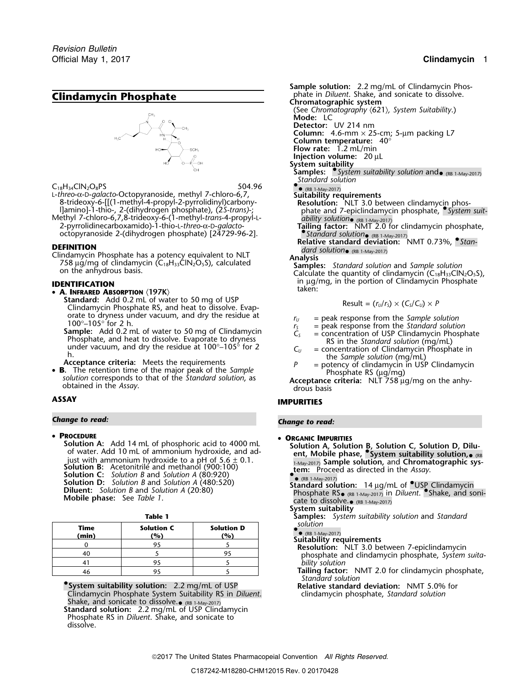# **Clindamycin Phosphate**



C<sub>18</sub>H<sub>34</sub>ClN<sub>2</sub>O<sub>8</sub>PS 504.96<br>L-threo-α-D-galacto-Octopyranoside, methyl 7-chloro-6,7,

Example the control of the control of the control of the control of the control of the control of the control of the control of the control of the control of the control of the control of the control of the control of the

**DEFINITION**<br>Clindamycin Phosphate has a potency equivalent to NLT<br>758 µg/mg of clindamycin (C<sub>18</sub>H<sub>33</sub>ClN<sub>2</sub>O<sub>5</sub>S), calculated<br>on the anhydrous basis.<br>Calculate the quantity of clindamycin (C<sub>18</sub>H<sub>33</sub>ClN<sub>2</sub>O<sub>5</sub>S),

- 
- **A.** INFRARED ABSORPTION  $\langle$  197K $\rangle$ <br>Standard: Add 0.2 mL of water to 50 mg of USP Standard: Clindard: *Phosphate RS, and heat to dissolve. Evap-<br>
orate to dryness under vacuum, and dry the residue at* 
	- For a contract of the Sample solution<br>
	100°-105° for 2 h.<br> **Sample:** Add 0.2 mL of water to 50 mg of Clindamycin<br>
	Phosphate, and heat to dissolve. Evaporate to dryness<br>
	mer vacuum, and dry the residue at 100°-105° for 2<br>
	-
- **B.** The retention time of the major peak of the Sample<br>solution corresponds to that of the Standard solution, as<br>obtained in the Assay.<br>obtained in the Assay.<br>obtained in the Assay.<br>obtained in the Assay.

## *Change to read: Change to read:*

## •

**PROCEDURE**<br>**Solution A:** Add 14 mL of phosphoric acid to 4000 mL **• ORGANIC IMPURITIES Solution A:** Add 14 mL of phosphoric acid to 4000 mL<br>of water. Add 10 mL of ammonium hydroxide, and adenticially and adjust with ammonium hydroxide to a pH of 5.6  $\pm$  0.1.<br>Just with ammonium hydroxide to a pH of 5.6  $\pm$ Find the minimum hydroxide to a pH of 5.6  $\pm$  0.1.<br>
Solution B: Acetonitrile and methanol (900:100)<br>
Solution C: Solution B and Solution A (80:920)<br>
Solution D: Solution B and Solution A (480:520)<br>
Solution D: Solution B **Solution D:** Solution B and Solution A (480:520)<br> **Solution:** 14 µg/mL of USP Clindamycin<br> **Diluent:** Solution B and Solution A (20:80)<br>
Mobile phase: See Table 1.<br>
Mobile phase: See Table 1.<br>
Mobile phase: See Table 1.

| Time<br>(min) | <b>Solution C</b><br>(%) | <b>Solution D</b><br>(%) |
|---------------|--------------------------|--------------------------|
|               |                          |                          |
|               |                          |                          |
|               |                          |                          |
|               |                          |                          |

**•.System suitability solution:** 2.2 mg/mL of USP **Relative standard deviation:** NMT 5.0% for Clindamycin Phosphate System Suitability RS in *Diluent*. clindamycin phosphate, *Standard solution* Shake, and sonicate to dissolve.• (RB 1-May-2017) **Standard solution:** 2.2 mg/mL of USP Clindamycin Phosphate RS in *Diluent*. Shake, and sonicate to dissolve.

**Sample solution:** 2.2 mg/mL of Clindamycin Phos-<br>phate in *Diluent*. Shake, and sonicate to dissolve. **Chromatographic system** (See *Chromatography* 〈621〉*, System Suitability*.) **Mode:** LC **Detector:** UV 214 nm **Column:** 4.6-mm × 25-cm; 5-µm packing L7 **Column temperature:** 40° **Flow rate:** 1.2 mL/min

**Injection volume:** 20 µL

**System suitability**

**Samples:** • *System suitability solution* and• (RB 1-May-2017) *Standard solution*

 $\bullet$  (RB

 $\bullet$  (RB 1-May-2017)<br>Suitability requirements

- 8-trideoxy-6-[[(1-methyl-4-propyl-2-pyrrolidinyl)carbony-<br>
1]amino]-1-thio-, 2-(dihydrogen phosphate), (2*S-trans*)-;<br>
Methyl 7-chloro-6,7,8-trideoxy-6-(1-methyl-*trans-4-propyl-L-*<br>
2-pyrrolidinecarboxamido)-1-thio-L-*th* 
	-
	-

**IDENTIFICATION** in  $\mu$ g/mg, in the portion of Clindamycin Phosphate **International contract of the portion** of Clindamycin Phosphate

Result = 
$$
(r_U/r_S)
$$
 ×  $(C_S/C_U)$  ×  $P$ 

- 
- 
- 
- 
- 

# **ASSAY IMPURITIES**

- -
	-
	- $\text{cate to dissolved.}$  (RB 1-May-2017)
	- **System suitability**
- **Table 1 Samples:** *System suitability solution* and *Standard* **solution** 
	- $\bullet$

- Resolution: NLT 3.0 between 7-epiclindamycin<br>phosphate and clindamycin phosphate, *System suita-*<sup>41</sup> <sup>95</sup> <sup>5</sup> *bility solution*
- Tailing factor: NMT 2.0 for clindamycin phosphate, *Standard solution*